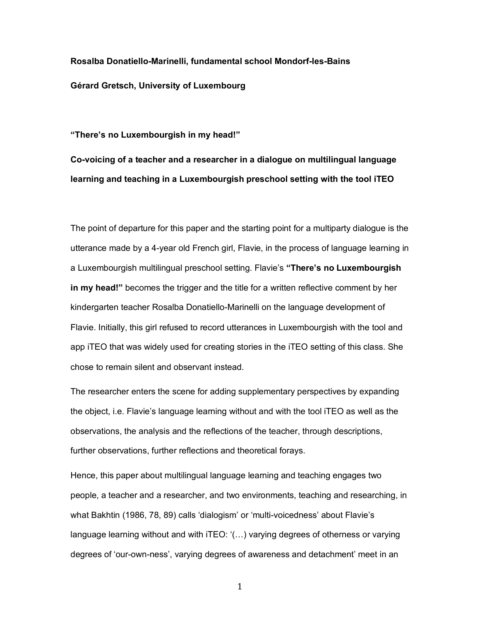**Rosalba Donatiello-Marinelli, fundamental school Mondorf-les-Bains Gérard Gretsch, University of Luxembourg**

**"There's no Luxembourgish in my head!"**

**Co-voicing of a teacher and a researcher in a dialogue on multilingual language learning and teaching in a Luxembourgish preschool setting with the tool iTEO**

The point of departure for this paper and the starting point for a multiparty dialogue is the utterance made by a 4-year old French girl, Flavie, in the process of language learning in a Luxembourgish multilingual preschool setting. Flavie's **"There's no Luxembourgish in my head!"** becomes the trigger and the title for a written reflective comment by her kindergarten teacher Rosalba Donatiello-Marinelli on the language development of Flavie. Initially, this girl refused to record utterances in Luxembourgish with the tool and app iTEO that was widely used for creating stories in the iTEO setting of this class. She chose to remain silent and observant instead.

The researcher enters the scene for adding supplementary perspectives by expanding the object, i.e. Flavie's language learning without and with the tool iTEO as well as the observations, the analysis and the reflections of the teacher, through descriptions, further observations, further reflections and theoretical forays.

Hence, this paper about multilingual language learning and teaching engages two people, a teacher and a researcher, and two environments, teaching and researching, in what Bakhtin (1986, 78, 89) calls 'dialogism' or 'multi-voicedness' about Flavie's language learning without and with iTEO: '(…) varying degrees of otherness or varying degrees of 'our-own-ness', varying degrees of awareness and detachment' meet in an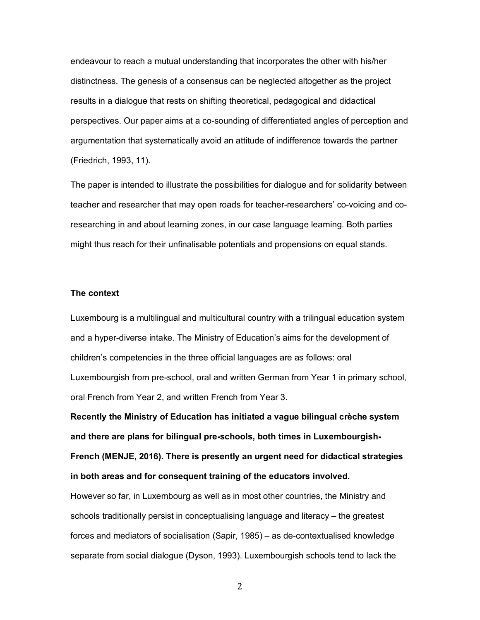endeavour to reach a mutual understanding that incorporates the other with his/her distinctness. The genesis of a consensus can be neglected altogether as the project results in a dialogue that rests on shifting theoretical, pedagogical and didactical perspectives. Our paper aims at a co-sounding of differentiated angles of perception and argumentation that systematically avoid an attitude of indifference towards the partner (Friedrich, 1993, 11).

The paper is intended to illustrate the possibilities for dialogue and for solidarity between teacher and researcher that may open roads for teacher-researchers' co-voicing and coresearching in and about learning zones, in our case language learning. Both parties might thus reach for their unfinalisable potentials and propensions on equal stands.

### **The context**

Luxembourg is a multilingual and multicultural country with a trilingual education system and a hyper-diverse intake. The Ministry of Education's aims for the development of children's competencies in the three official languages are as follows: oral Luxembourgish from pre-school, oral and written German from Year 1 in primary school, oral French from Year 2, and written French from Year 3.

**Recently the Ministry of Education has initiated a vague bilingual crèche system and there are plans for bilingual pre-schools, both times in Luxembourgish-French (MENJE, 2016). There is presently an urgent need for didactical strategies in both areas and for consequent training of the educators involved.**

However so far, in Luxembourg as well as in most other countries, the Ministry and schools traditionally persist in conceptualising language and literacy – the greatest forces and mediators of socialisation (Sapir, 1985) – as de-contextualised knowledge separate from social dialogue (Dyson, 1993). Luxembourgish schools tend to lack the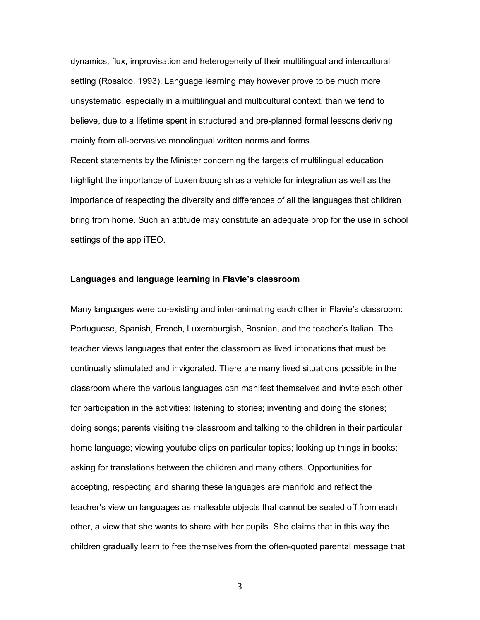dynamics, flux, improvisation and heterogeneity of their multilingual and intercultural setting (Rosaldo, 1993). Language learning may however prove to be much more unsystematic, especially in a multilingual and multicultural context, than we tend to believe, due to a lifetime spent in structured and pre-planned formal lessons deriving mainly from all-pervasive monolingual written norms and forms.

Recent statements by the Minister concerning the targets of multilingual education highlight the importance of Luxembourgish as a vehicle for integration as well as the importance of respecting the diversity and differences of all the languages that children bring from home. Such an attitude may constitute an adequate prop for the use in school settings of the app iTEO.

#### **Languages and language learning in Flavie's classroom**

Many languages were co-existing and inter-animating each other in Flavie's classroom: Portuguese, Spanish, French, Luxemburgish, Bosnian, and the teacher's Italian. The teacher views languages that enter the classroom as lived intonations that must be continually stimulated and invigorated. There are many lived situations possible in the classroom where the various languages can manifest themselves and invite each other for participation in the activities: listening to stories; inventing and doing the stories; doing songs; parents visiting the classroom and talking to the children in their particular home language; viewing youtube clips on particular topics; looking up things in books; asking for translations between the children and many others. Opportunities for accepting, respecting and sharing these languages are manifold and reflect the teacher's view on languages as malleable objects that cannot be sealed off from each other, a view that she wants to share with her pupils. She claims that in this way the children gradually learn to free themselves from the often-quoted parental message that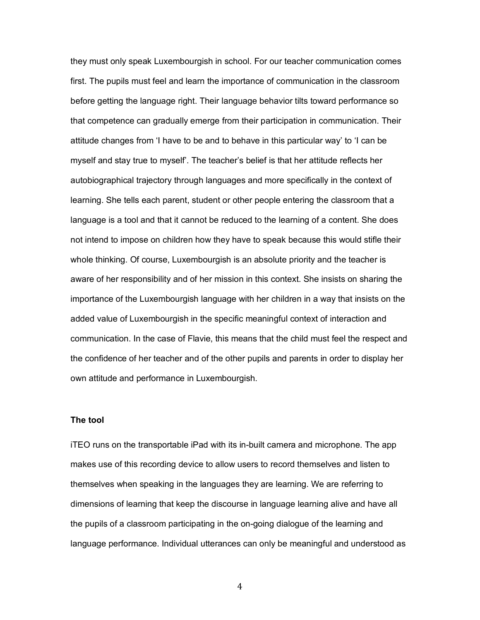they must only speak Luxembourgish in school. For our teacher communication comes first. The pupils must feel and learn the importance of communication in the classroom before getting the language right. Their language behavior tilts toward performance so that competence can gradually emerge from their participation in communication. Their attitude changes from 'I have to be and to behave in this particular way' to 'I can be myself and stay true to myself'. The teacher's belief is that her attitude reflects her autobiographical trajectory through languages and more specifically in the context of learning. She tells each parent, student or other people entering the classroom that a language is a tool and that it cannot be reduced to the learning of a content. She does not intend to impose on children how they have to speak because this would stifle their whole thinking. Of course, Luxembourgish is an absolute priority and the teacher is aware of her responsibility and of her mission in this context. She insists on sharing the importance of the Luxembourgish language with her children in a way that insists on the added value of Luxembourgish in the specific meaningful context of interaction and communication. In the case of Flavie, this means that the child must feel the respect and the confidence of her teacher and of the other pupils and parents in order to display her own attitude and performance in Luxembourgish.

#### **The tool**

iTEO runs on the transportable iPad with its in-built camera and microphone. The app makes use of this recording device to allow users to record themselves and listen to themselves when speaking in the languages they are learning. We are referring to dimensions of learning that keep the discourse in language learning alive and have all the pupils of a classroom participating in the on-going dialogue of the learning and language performance. Individual utterances can only be meaningful and understood as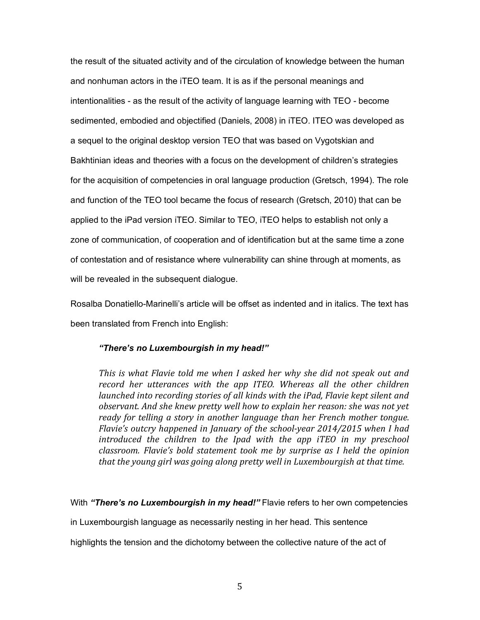the result of the situated activity and of the circulation of knowledge between the human and nonhuman actors in the iTEO team. It is as if the personal meanings and intentionalities - as the result of the activity of language learning with TEO - become sedimented, embodied and objectified (Daniels, 2008) in iTEO. ITEO was developed as a sequel to the original desktop version TEO that was based on Vygotskian and Bakhtinian ideas and theories with a focus on the development of children's strategies for the acquisition of competencies in oral language production (Gretsch, 1994). The role and function of the TEO tool became the focus of research (Gretsch, 2010) that can be applied to the iPad version iTEO. Similar to TEO, iTEO helps to establish not only a zone of communication, of cooperation and of identification but at the same time a zone of contestation and of resistance where vulnerability can shine through at moments, as will be revealed in the subsequent dialogue.

Rosalba Donatiello-Marinelli's article will be offset as indented and in italics. The text has been translated from French into English:

### *"There's no Luxembourgish in my head!"*

*This* is what Flavie told me when I asked her why she did not speak out and *record her utterances with the app ITEO. Whereas all the other children launched into recording stories of all kinds with the iPad, Flavie kept silent and observant. And she knew pretty well how to explain her reason: she was not yet* ready for telling a story in another language than her French mother tongue. *Flavie's* outcry happened in January of the school-year 2014/2015 when I had *introduced the children to the Ipad with the app iTEO in my preschool classroom.* Flavie's bold statement took me by surprise as I held the opinion *that the young girl was going along pretty well in Luxembourgish at that time.* 

With *"There's no Luxembourgish in my head!"* Flavie refers to her own competencies

in Luxembourgish language as necessarily nesting in her head. This sentence

highlights the tension and the dichotomy between the collective nature of the act of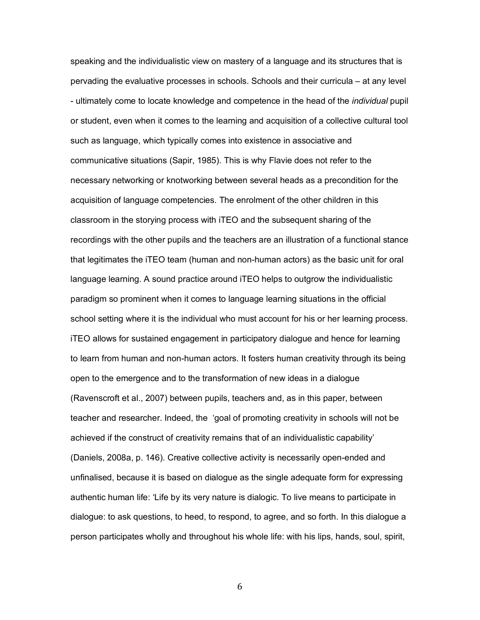speaking and the individualistic view on mastery of a language and its structures that is pervading the evaluative processes in schools. Schools and their curricula – at any level - ultimately come to locate knowledge and competence in the head of the *individual* pupil or student, even when it comes to the learning and acquisition of a collective cultural tool such as language, which typically comes into existence in associative and communicative situations (Sapir, 1985). This is why Flavie does not refer to the necessary networking or knotworking between several heads as a precondition for the acquisition of language competencies. The enrolment of the other children in this classroom in the storying process with iTEO and the subsequent sharing of the recordings with the other pupils and the teachers are an illustration of a functional stance that legitimates the iTEO team (human and non-human actors) as the basic unit for oral language learning. A sound practice around iTEO helps to outgrow the individualistic paradigm so prominent when it comes to language learning situations in the official school setting where it is the individual who must account for his or her learning process. iTEO allows for sustained engagement in participatory dialogue and hence for learning to learn from human and non-human actors. It fosters human creativity through its being open to the emergence and to the transformation of new ideas in a dialogue (Ravenscroft et al., 2007) between pupils, teachers and, as in this paper, between teacher and researcher. Indeed, the 'goal of promoting creativity in schools will not be achieved if the construct of creativity remains that of an individualistic capability' (Daniels, 2008a, p. 146). Creative collective activity is necessarily open-ended and unfinalised, because it is based on dialogue as the single adequate form for expressing authentic human life: 'Life by its very nature is dialogic. To live means to participate in dialogue: to ask questions, to heed, to respond, to agree, and so forth. In this dialogue a person participates wholly and throughout his whole life: with his lips, hands, soul, spirit,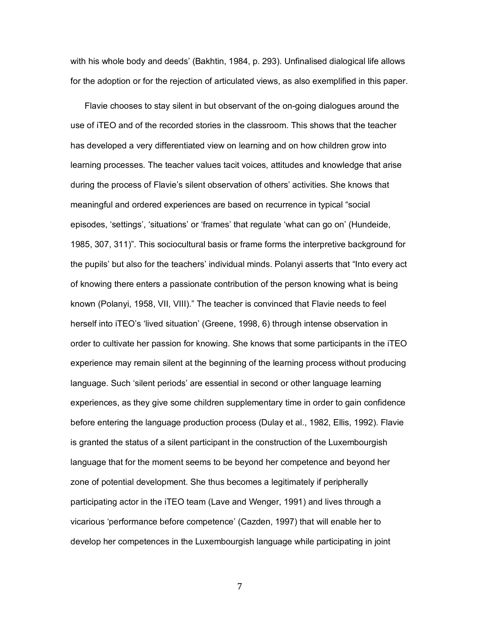with his whole body and deeds' (Bakhtin, 1984, p. 293). Unfinalised dialogical life allows for the adoption or for the rejection of articulated views, as also exemplified in this paper.

Flavie chooses to stay silent in but observant of the on-going dialogues around the use of iTEO and of the recorded stories in the classroom. This shows that the teacher has developed a very differentiated view on learning and on how children grow into learning processes. The teacher values tacit voices, attitudes and knowledge that arise during the process of Flavie's silent observation of others' activities. She knows that meaningful and ordered experiences are based on recurrence in typical "social episodes, 'settings', 'situations' or 'frames' that regulate 'what can go on' (Hundeide, 1985, 307, 311)". This sociocultural basis or frame forms the interpretive background for the pupils' but also for the teachers' individual minds. Polanyi asserts that "Into every act of knowing there enters a passionate contribution of the person knowing what is being known (Polanyi, 1958, VII, VIII)." The teacher is convinced that Flavie needs to feel herself into iTEO's 'lived situation' (Greene, 1998, 6) through intense observation in order to cultivate her passion for knowing. She knows that some participants in the iTEO experience may remain silent at the beginning of the learning process without producing language. Such 'silent periods' are essential in second or other language learning experiences, as they give some children supplementary time in order to gain confidence before entering the language production process (Dulay et al., 1982, Ellis, 1992). Flavie is granted the status of a silent participant in the construction of the Luxembourgish language that for the moment seems to be beyond her competence and beyond her zone of potential development. She thus becomes a legitimately if peripherally participating actor in the iTEO team (Lave and Wenger, 1991) and lives through a vicarious 'performance before competence' (Cazden, 1997) that will enable her to develop her competences in the Luxembourgish language while participating in joint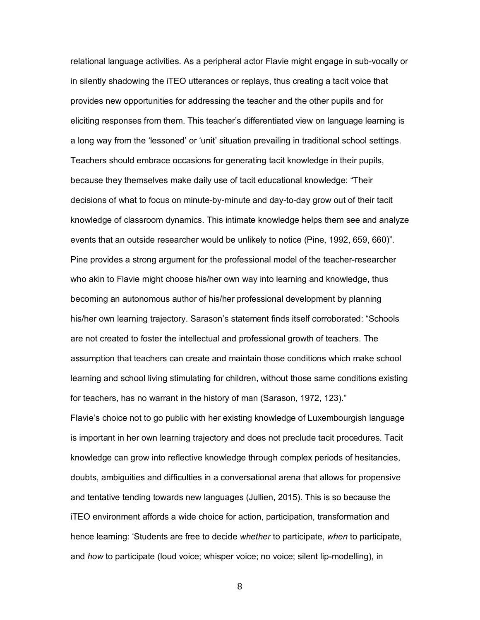relational language activities. As a peripheral actor Flavie might engage in sub-vocally or in silently shadowing the iTEO utterances or replays, thus creating a tacit voice that provides new opportunities for addressing the teacher and the other pupils and for eliciting responses from them. This teacher's differentiated view on language learning is a long way from the 'lessoned' or 'unit' situation prevailing in traditional school settings. Teachers should embrace occasions for generating tacit knowledge in their pupils, because they themselves make daily use of tacit educational knowledge: "Their decisions of what to focus on minute-by-minute and day-to-day grow out of their tacit knowledge of classroom dynamics. This intimate knowledge helps them see and analyze events that an outside researcher would be unlikely to notice (Pine, 1992, 659, 660)". Pine provides a strong argument for the professional model of the teacher-researcher who akin to Flavie might choose his/her own way into learning and knowledge, thus becoming an autonomous author of his/her professional development by planning his/her own learning trajectory. Sarason's statement finds itself corroborated: "Schools are not created to foster the intellectual and professional growth of teachers. The assumption that teachers can create and maintain those conditions which make school learning and school living stimulating for children, without those same conditions existing for teachers, has no warrant in the history of man (Sarason, 1972, 123)."

Flavie's choice not to go public with her existing knowledge of Luxembourgish language is important in her own learning trajectory and does not preclude tacit procedures. Tacit knowledge can grow into reflective knowledge through complex periods of hesitancies, doubts, ambiguities and difficulties in a conversational arena that allows for propensive and tentative tending towards new languages (Jullien, 2015). This is so because the iTEO environment affords a wide choice for action, participation, transformation and hence learning: 'Students are free to decide *whether* to participate, *when* to participate, and *how* to participate (loud voice; whisper voice; no voice; silent lip-modelling), in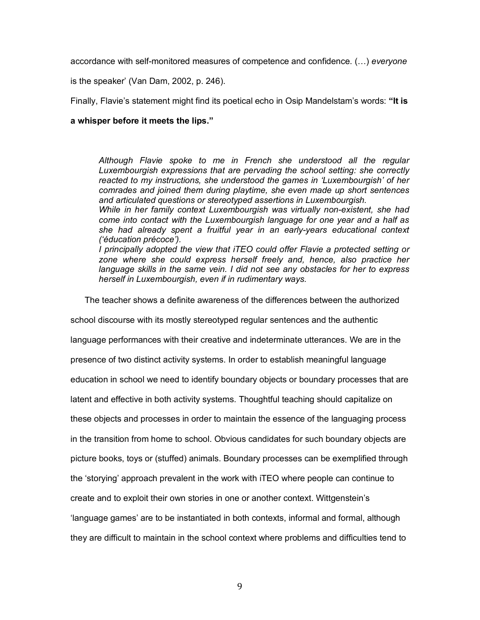accordance with self-monitored measures of competence and confidence. (…) *everyone*

is the speaker' (Van Dam, 2002, p. 246).

Finally, Flavie's statement might find its poetical echo in Osip Mandelstam's words: **"It is** 

#### **a whisper before it meets the lips."**

*Although Flavie spoke to me in French she understood all the regular Luxembourgish expressions that are pervading the school setting: she correctly reacted to my instructions, she understood the games in 'Luxembourgish' of her comrades and joined them during playtime, she even made up short sentences and articulated questions or stereotyped assertions in Luxembourgish.*

*While in her family context Luxembourgish was virtually non-existent, she had come into contact with the Luxembourgish language for one year and a half as she had already spent a fruitful year in an early-years educational context ('éducation précoce').*

*I principally adopted the view that iTEO could offer Flavie a protected setting or*  zone where she could express herself freely and, hence, also practice her *language skills in the same vein. I did not see any obstacles for her to express herself in Luxembourgish, even if in rudimentary ways.*

The teacher shows a definite awareness of the differences between the authorized

school discourse with its mostly stereotyped regular sentences and the authentic language performances with their creative and indeterminate utterances. We are in the presence of two distinct activity systems. In order to establish meaningful language education in school we need to identify boundary objects or boundary processes that are latent and effective in both activity systems. Thoughtful teaching should capitalize on these objects and processes in order to maintain the essence of the languaging process in the transition from home to school. Obvious candidates for such boundary objects are

picture books, toys or (stuffed) animals. Boundary processes can be exemplified through

the 'storying' approach prevalent in the work with iTEO where people can continue to

create and to exploit their own stories in one or another context. Wittgenstein's

'language games' are to be instantiated in both contexts, informal and formal, although

they are difficult to maintain in the school context where problems and difficulties tend to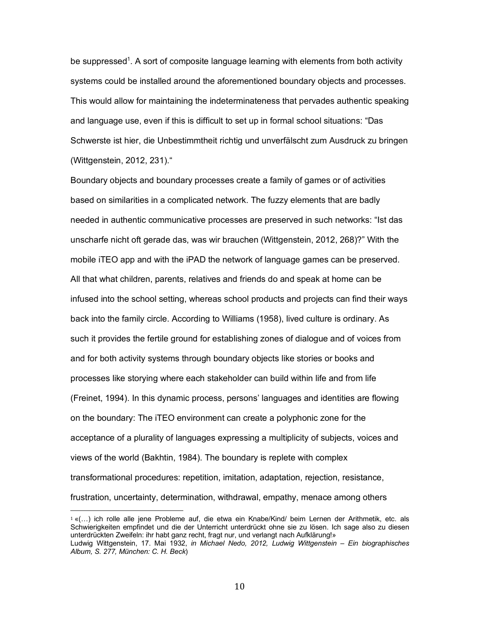be suppressed<sup>1</sup>. A sort of composite language learning with elements from both activity systems could be installed around the aforementioned boundary objects and processes. This would allow for maintaining the indeterminateness that pervades authentic speaking and language use, even if this is difficult to set up in formal school situations: "Das Schwerste ist hier, die Unbestimmtheit richtig und unverfälscht zum Ausdruck zu bringen (Wittgenstein, 2012, 231)."

Boundary objects and boundary processes create a family of games or of activities based on similarities in a complicated network. The fuzzy elements that are badly needed in authentic communicative processes are preserved in such networks: "Ist das unscharfe nicht oft gerade das, was wir brauchen (Wittgenstein, 2012, 268)?" With the mobile iTEO app and with the iPAD the network of language games can be preserved. All that what children, parents, relatives and friends do and speak at home can be infused into the school setting, whereas school products and projects can find their ways back into the family circle. According to Williams (1958), lived culture is ordinary. As such it provides the fertile ground for establishing zones of dialogue and of voices from and for both activity systems through boundary objects like stories or books and processes like storying where each stakeholder can build within life and from life (Freinet, 1994). In this dynamic process, persons' languages and identities are flowing on the boundary: The iTEO environment can create a polyphonic zone for the acceptance of a plurality of languages expressing a multiplicity of subjects, voices and views of the world (Bakhtin, 1984). The boundary is replete with complex transformational procedures: repetition, imitation, adaptation, rejection, resistance, frustration, uncertainty, determination, withdrawal, empathy, menace among others

<sup>1</sup> «(…) ich rolle alle jene Probleme auf, die etwa ein Knabe/Kind/ beim Lernen der Arithmetik, etc. als Schwierigkeiten empfindet und die der Unterricht unterdrückt ohne sie zu lösen. Ich sage also zu diesen unterdrückten Zweifeln: ihr habt ganz recht, fragt nur, und verlangt nach Aufklärung!» Ludwig Wittgenstein, 17. Mai 1932, *in Michael Nedo, 2012, Ludwig Wittgenstein – Ein biographisches* 

*Album, S. 277, München: C. H. Beck*)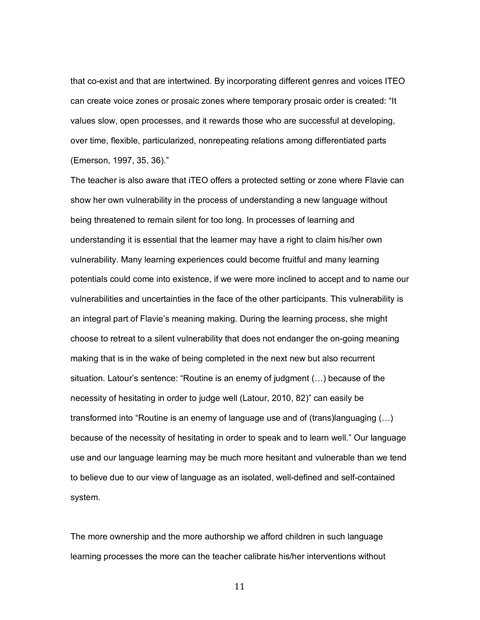that co-exist and that are intertwined. By incorporating different genres and voices ITEO can create voice zones or prosaic zones where temporary prosaic order is created: "It values slow, open processes, and it rewards those who are successful at developing, over time, flexible, particularized, nonrepeating relations among differentiated parts (Emerson, 1997, 35, 36)."

The teacher is also aware that iTEO offers a protected setting or zone where Flavie can show her own vulnerability in the process of understanding a new language without being threatened to remain silent for too long. In processes of learning and understanding it is essential that the learner may have a right to claim his/her own vulnerability. Many learning experiences could become fruitful and many learning potentials could come into existence, if we were more inclined to accept and to name our vulnerabilities and uncertainties in the face of the other participants. This vulnerability is an integral part of Flavie's meaning making. During the learning process, she might choose to retreat to a silent vulnerability that does not endanger the on-going meaning making that is in the wake of being completed in the next new but also recurrent situation. Latour's sentence: "Routine is an enemy of judgment (…) because of the necessity of hesitating in order to judge well (Latour, 2010, 82)" can easily be transformed into "Routine is an enemy of language use and of (trans)languaging (…) because of the necessity of hesitating in order to speak and to learn well." Our language use and our language learning may be much more hesitant and vulnerable than we tend to believe due to our view of language as an isolated, well-defined and self-contained system.

The more ownership and the more authorship we afford children in such language learning processes the more can the teacher calibrate his/her interventions without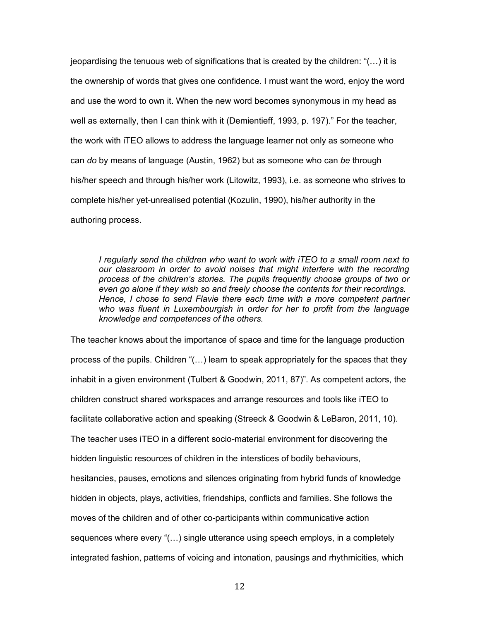jeopardising the tenuous web of significations that is created by the children: "(…) it is the ownership of words that gives one confidence. I must want the word, enjoy the word and use the word to own it. When the new word becomes synonymous in my head as well as externally, then I can think with it (Demientieff, 1993, p. 197)." For the teacher, the work with iTEO allows to address the language learner not only as someone who can *do* by means of language (Austin, 1962) but as someone who can *be* through his/her speech and through his/her work (Litowitz, 1993), i.e. as someone who strives to complete his/her yet-unrealised potential (Kozulin, 1990), his/her authority in the authoring process.

*I regularly send the children who want to work with iTEO to a small room next to our classroom in order to avoid noises that might interfere with the recording process of the children's stories. The pupils frequently choose groups of two or even go alone if they wish so and freely choose the contents for their recordings. Hence, I chose to send Flavie there each time with a more competent partner who was fluent in Luxembourgish in order for her to profit from the language knowledge and competences of the others.*

The teacher knows about the importance of space and time for the language production process of the pupils. Children "(…) learn to speak appropriately for the spaces that they inhabit in a given environment (Tulbert & Goodwin, 2011, 87)". As competent actors, the children construct shared workspaces and arrange resources and tools like iTEO to facilitate collaborative action and speaking (Streeck & Goodwin & LeBaron, 2011, 10). The teacher uses iTEO in a different socio-material environment for discovering the hidden linguistic resources of children in the interstices of bodily behaviours, hesitancies, pauses, emotions and silences originating from hybrid funds of knowledge hidden in objects, plays, activities, friendships, conflicts and families. She follows the moves of the children and of other co-participants within communicative action sequences where every "(…) single utterance using speech employs, in a completely integrated fashion, patterns of voicing and intonation, pausings and rhythmicities, which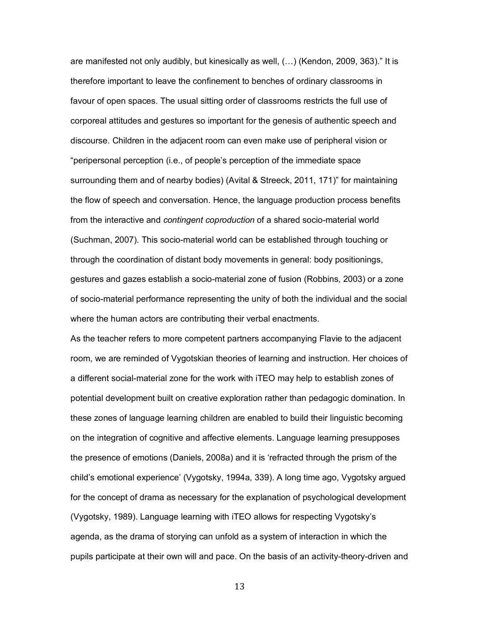are manifested not only audibly, but kinesically as well, (…) (Kendon, 2009, 363)." It is therefore important to leave the confinement to benches of ordinary classrooms in favour of open spaces. The usual sitting order of classrooms restricts the full use of corporeal attitudes and gestures so important for the genesis of authentic speech and discourse. Children in the adjacent room can even make use of peripheral vision or "peripersonal perception (i.e., of people's perception of the immediate space surrounding them and of nearby bodies) (Avital & Streeck, 2011, 171)" for maintaining the flow of speech and conversation. Hence, the language production process benefits from the interactive and *contingent coproduction* of a shared socio-material world (Suchman, 2007). This socio-material world can be established through touching or through the coordination of distant body movements in general: body positionings, gestures and gazes establish a socio-material zone of fusion (Robbins, 2003) or a zone of socio-material performance representing the unity of both the individual and the social where the human actors are contributing their verbal enactments.

As the teacher refers to more competent partners accompanying Flavie to the adjacent room, we are reminded of Vygotskian theories of learning and instruction. Her choices of a different social-material zone for the work with iTEO may help to establish zones of potential development built on creative exploration rather than pedagogic domination. In these zones of language learning children are enabled to build their linguistic becoming on the integration of cognitive and affective elements. Language learning presupposes the presence of emotions (Daniels, 2008a) and it is 'refracted through the prism of the child's emotional experience' (Vygotsky, 1994a, 339). A long time ago, Vygotsky argued for the concept of drama as necessary for the explanation of psychological development (Vygotsky, 1989). Language learning with iTEO allows for respecting Vygotsky's agenda, as the drama of storying can unfold as a system of interaction in which the pupils participate at their own will and pace. On the basis of an activity-theory-driven and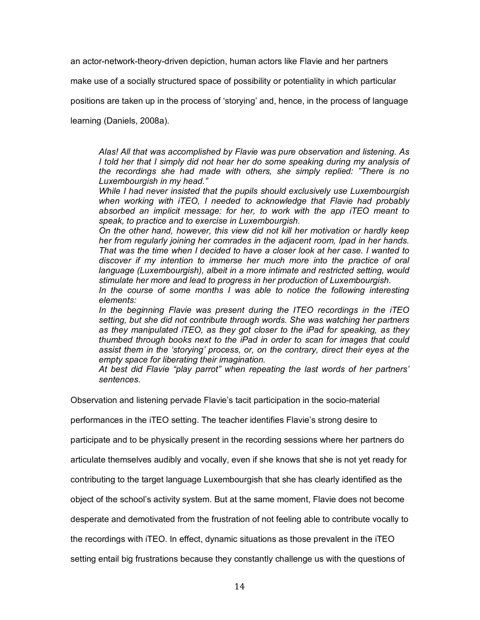an actor-network-theory-driven depiction, human actors like Flavie and her partners

make use of a socially structured space of possibility or potentiality in which particular

positions are taken up in the process of 'storying' and, hence, in the process of language

learning (Daniels, 2008a).

*Alas! All that was accomplished by Flavie was pure observation and listening. As I told her that I simply did not hear her do some speaking during my analysis of the recordings she had made with others, she simply replied: "There is no Luxembourgish in my head."*

*While I had never insisted that the pupils should exclusively use Luxembourgish when working with iTEO, I needed to acknowledge that Flavie had probably absorbed an implicit message: for her, to work with the app iTEO meant to speak, to practice and to exercise in Luxembourgish.*

*On the other hand, however, this view did not kill her motivation or hardly keep her from regularly joining her comrades in the adjacent room, Ipad in her hands. That was the time when I decided to have a closer look at her case. I wanted to discover if my intention to immerse her much more into the practice of oral language (Luxembourgish), albeit in a more intimate and restricted setting, would stimulate her more and lead to progress in her production of Luxembourgish.*

*In the course of some months I was able to notice the following interesting elements:*

*In the beginning Flavie was present during the ITEO recordings in the iTEO setting, but she did not contribute through words. She was watching her partners as they manipulated iTEO, as they got closer to the iPad for speaking, as they thumbed through books next to the iPad in order to scan for images that could assist them in the 'storying' process, or, on the contrary, direct their eyes at the empty space for liberating their imagination.*

*At best did Flavie "play parrot" when repeating the last words of her partners' sentences.*

Observation and listening pervade Flavie's tacit participation in the socio-material

performances in the iTEO setting. The teacher identifies Flavie's strong desire to

participate and to be physically present in the recording sessions where her partners do

articulate themselves audibly and vocally, even if she knows that she is not yet ready for

contributing to the target language Luxembourgish that she has clearly identified as the

object of the school's activity system. But at the same moment, Flavie does not become

desperate and demotivated from the frustration of not feeling able to contribute vocally to

the recordings with iTEO. In effect, dynamic situations as those prevalent in the iTEO

setting entail big frustrations because they constantly challenge us with the questions of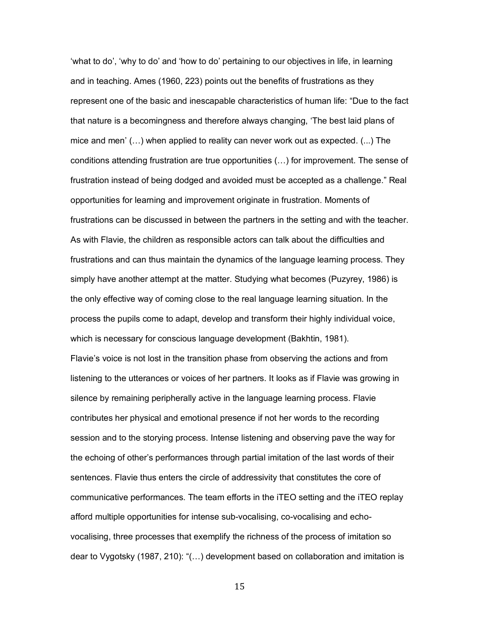'what to do', 'why to do' and 'how to do' pertaining to our objectives in life, in learning and in teaching. Ames (1960, 223) points out the benefits of frustrations as they represent one of the basic and inescapable characteristics of human life: "Due to the fact that nature is a becomingness and therefore always changing, 'The best laid plans of mice and men' (…) when applied to reality can never work out as expected. (...) The conditions attending frustration are true opportunities (…) for improvement. The sense of frustration instead of being dodged and avoided must be accepted as a challenge." Real opportunities for learning and improvement originate in frustration. Moments of frustrations can be discussed in between the partners in the setting and with the teacher. As with Flavie, the children as responsible actors can talk about the difficulties and frustrations and can thus maintain the dynamics of the language learning process. They simply have another attempt at the matter. Studying what becomes (Puzyrey, 1986) is the only effective way of coming close to the real language learning situation. In the process the pupils come to adapt, develop and transform their highly individual voice, which is necessary for conscious language development (Bakhtin, 1981). Flavie's voice is not lost in the transition phase from observing the actions and from listening to the utterances or voices of her partners. It looks as if Flavie was growing in silence by remaining peripherally active in the language learning process. Flavie contributes her physical and emotional presence if not her words to the recording session and to the storying process. Intense listening and observing pave the way for the echoing of other's performances through partial imitation of the last words of their sentences. Flavie thus enters the circle of addressivity that constitutes the core of communicative performances. The team efforts in the iTEO setting and the iTEO replay afford multiple opportunities for intense sub-vocalising, co-vocalising and echovocalising, three processes that exemplify the richness of the process of imitation so dear to Vygotsky (1987, 210): "(…) development based on collaboration and imitation is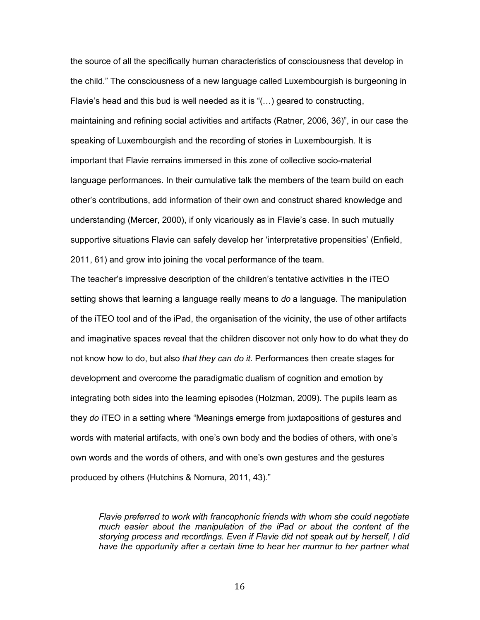the source of all the specifically human characteristics of consciousness that develop in the child." The consciousness of a new language called Luxembourgish is burgeoning in Flavie's head and this bud is well needed as it is "(…) geared to constructing, maintaining and refining social activities and artifacts (Ratner, 2006, 36)", in our case the speaking of Luxembourgish and the recording of stories in Luxembourgish. It is important that Flavie remains immersed in this zone of collective socio-material language performances. In their cumulative talk the members of the team build on each other's contributions, add information of their own and construct shared knowledge and understanding (Mercer, 2000), if only vicariously as in Flavie's case. In such mutually supportive situations Flavie can safely develop her 'interpretative propensities' (Enfield, 2011, 61) and grow into joining the vocal performance of the team.

The teacher's impressive description of the children's tentative activities in the iTEO setting shows that learning a language really means to *do* a language. The manipulation of the iTEO tool and of the iPad, the organisation of the vicinity, the use of other artifacts and imaginative spaces reveal that the children discover not only how to do what they do not know how to do, but also *that they can do it*. Performances then create stages for development and overcome the paradigmatic dualism of cognition and emotion by integrating both sides into the learning episodes (Holzman, 2009). The pupils learn as they *do* iTEO in a setting where "Meanings emerge from juxtapositions of gestures and words with material artifacts, with one's own body and the bodies of others, with one's own words and the words of others, and with one's own gestures and the gestures produced by others (Hutchins & Nomura, 2011, 43)."

*Flavie preferred to work with francophonic friends with whom she could negotiate much easier about the manipulation of the iPad or about the content of the storying process and recordings. Even if Flavie did not speak out by herself, I did*  have the opportunity after a certain time to hear her murmur to her partner what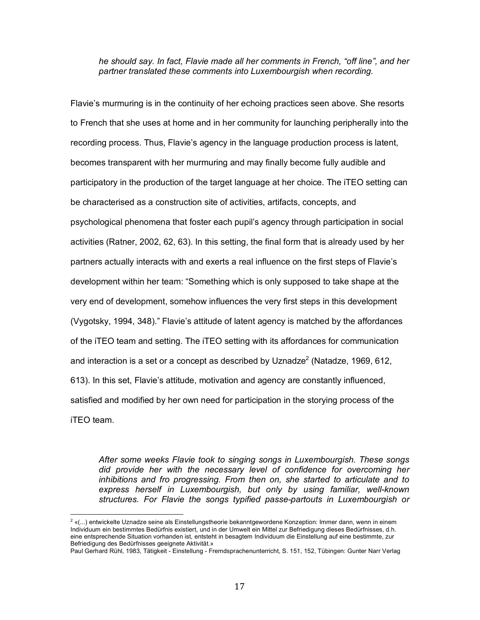*he should say. In fact, Flavie made all her comments in French, "off line", and her partner translated these comments into Luxembourgish when recording.*

Flavie's murmuring is in the continuity of her echoing practices seen above. She resorts to French that she uses at home and in her community for launching peripherally into the recording process. Thus, Flavie's agency in the language production process is latent, becomes transparent with her murmuring and may finally become fully audible and participatory in the production of the target language at her choice. The iTEO setting can be characterised as a construction site of activities, artifacts, concepts, and psychological phenomena that foster each pupil's agency through participation in social activities (Ratner, 2002, 62, 63). In this setting, the final form that is already used by her partners actually interacts with and exerts a real influence on the first steps of Flavie's development within her team: "Something which is only supposed to take shape at the very end of development, somehow influences the very first steps in this development (Vygotsky, 1994, 348)." Flavie's attitude of latent agency is matched by the affordances of the iTEO team and setting. The iTEO setting with its affordances for communication and interaction is a set or a concept as described by Uznadze<sup>2</sup> (Natadze, 1969, 612, 613). In this set, Flavie's attitude, motivation and agency are constantly influenced, satisfied and modified by her own need for participation in the storying process of the iTEO team.

*After some weeks Flavie took to singing songs in Luxembourgish. These songs did provide her with the necessary level of confidence for overcoming her inhibitions and fro progressing. From then on, she started to articulate and to express herself in Luxembourgish, but only by using familiar, well-known structures. For Flavie the songs typified passe-partouts in Luxembourgish or*

 $2\ \ll(\dots)$  entwickelte Uznadze seine als Einstellungstheorie bekanntgewordene Konzeption: Immer dann, wenn in einem Individuum ein bestimmtes Bedürfnis existiert, und in der Umwelt ein Mittel zur Befriedigung dieses Bedürfnisses, d.h. eine entsprechende Situation vorhanden ist, entsteht in besagtem Individuum die Einstellung auf eine bestimmte, zur Befriedigung des Bedürfnisses geeignete Aktivität.»

Paul Gerhard Rühl, 1983, Tätigkeit - Einstellung - Fremdsprachenunterricht, S. 151, 152, Tübingen: Gunter Narr Verlag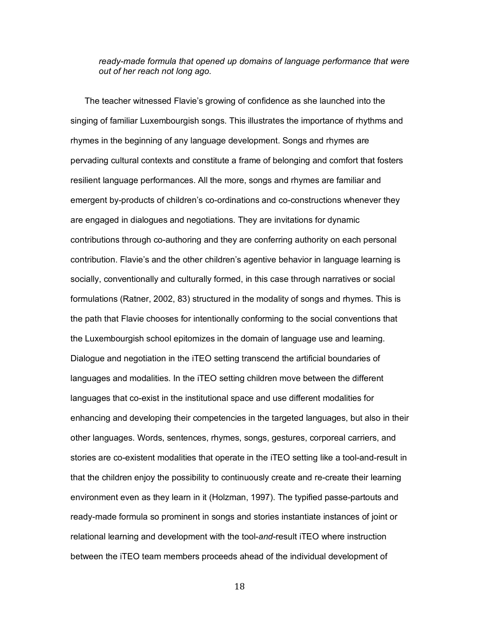## *ready-made formula that opened up domains of language performance that were out of her reach not long ago.*

The teacher witnessed Flavie's growing of confidence as she launched into the singing of familiar Luxembourgish songs. This illustrates the importance of rhythms and rhymes in the beginning of any language development. Songs and rhymes are pervading cultural contexts and constitute a frame of belonging and comfort that fosters resilient language performances. All the more, songs and rhymes are familiar and emergent by-products of children's co-ordinations and co-constructions whenever they are engaged in dialogues and negotiations. They are invitations for dynamic contributions through co-authoring and they are conferring authority on each personal contribution. Flavie's and the other children's agentive behavior in language learning is socially, conventionally and culturally formed, in this case through narratives or social formulations (Ratner, 2002, 83) structured in the modality of songs and rhymes. This is the path that Flavie chooses for intentionally conforming to the social conventions that the Luxembourgish school epitomizes in the domain of language use and learning. Dialogue and negotiation in the iTEO setting transcend the artificial boundaries of languages and modalities. In the iTEO setting children move between the different languages that co-exist in the institutional space and use different modalities for enhancing and developing their competencies in the targeted languages, but also in their other languages. Words, sentences, rhymes, songs, gestures, corporeal carriers, and stories are co-existent modalities that operate in the iTEO setting like a tool-and-result in that the children enjoy the possibility to continuously create and re-create their learning environment even as they learn in it (Holzman, 1997). The typified passe-partouts and ready-made formula so prominent in songs and stories instantiate instances of joint or relational learning and development with the tool-*and*-result iTEO where instruction between the iTEO team members proceeds ahead of the individual development of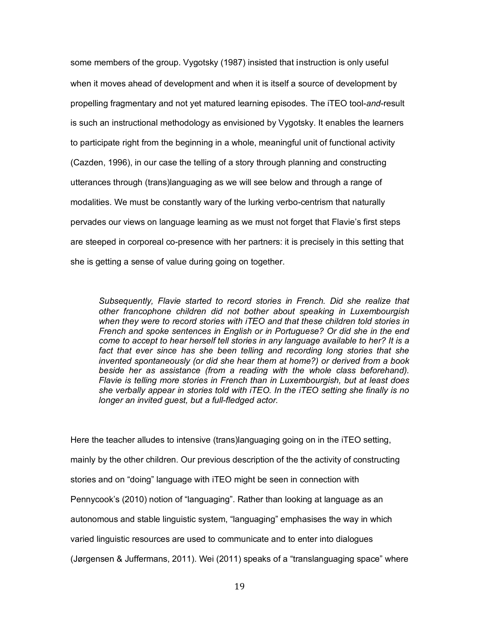some members of the group. Vygotsky (1987) insisted that instruction is only useful when it moves ahead of development and when it is itself a source of development by propelling fragmentary and not yet matured learning episodes. The iTEO tool-*and*-result is such an instructional methodology as envisioned by Vygotsky. It enables the learners to participate right from the beginning in a whole, meaningful unit of functional activity (Cazden, 1996), in our case the telling of a story through planning and constructing utterances through (trans)languaging as we will see below and through a range of modalities. We must be constantly wary of the lurking verbo-centrism that naturally pervades our views on language learning as we must not forget that Flavie's first steps are steeped in corporeal co-presence with her partners: it is precisely in this setting that she is getting a sense of value during going on together.

*Subsequently, Flavie started to record stories in French. Did she realize that other francophone children did not bother about speaking in Luxembourgish when they were to record stories with iTEO and that these children told stories in French and spoke sentences in English or in Portuguese? Or did she in the end come to accept to hear herself tell stories in any language available to her? It is a*  fact that ever since has she been telling and recording long stories that she *invented spontaneously (or did she hear them at home?) or derived from a book beside her as assistance (from a reading with the whole class beforehand). Flavie is telling more stories in French than in Luxembourgish, but at least does she verbally appear in stories told with iTEO. In the iTEO setting she finally is no longer an invited guest, but a full-fledged actor.*

Here the teacher alludes to intensive (trans)languaging going on in the iTEO setting, mainly by the other children. Our previous description of the the activity of constructing stories and on "doing" language with iTEO might be seen in connection with Pennycook's (2010) notion of "languaging". Rather than looking at language as an autonomous and stable linguistic system, "languaging" emphasises the way in which varied linguistic resources are used to communicate and to enter into dialogues (Jørgensen & Juffermans, 2011). Wei (2011) speaks of a "translanguaging space" where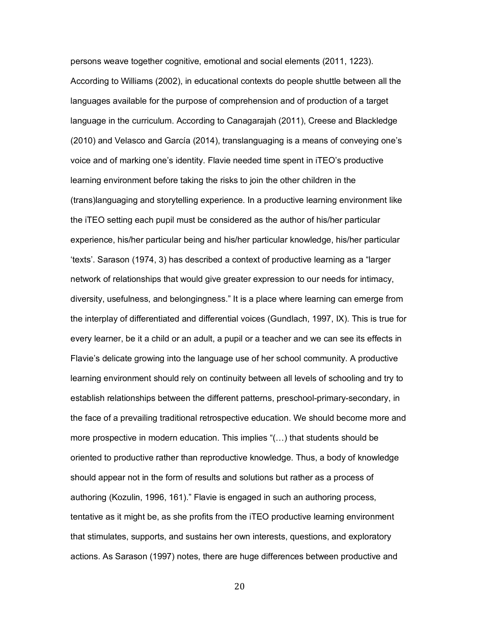persons weave together cognitive, emotional and social elements (2011, 1223). According to Williams (2002), in educational contexts do people shuttle between all the languages available for the purpose of comprehension and of production of a target language in the curriculum. According to Canagarajah (2011), Creese and Blackledge (2010) and Velasco and García (2014), translanguaging is a means of conveying one's voice and of marking one's identity. Flavie needed time spent in iTEO's productive learning environment before taking the risks to join the other children in the (trans)languaging and storytelling experience. In a productive learning environment like the iTEO setting each pupil must be considered as the author of his/her particular experience, his/her particular being and his/her particular knowledge, his/her particular 'texts'. Sarason (1974, 3) has described a context of productive learning as a "larger network of relationships that would give greater expression to our needs for intimacy, diversity, usefulness, and belongingness." It is a place where learning can emerge from the interplay of differentiated and differential voices (Gundlach, 1997, IX). This is true for every learner, be it a child or an adult, a pupil or a teacher and we can see its effects in Flavie's delicate growing into the language use of her school community. A productive learning environment should rely on continuity between all levels of schooling and try to establish relationships between the different patterns, preschool-primary-secondary, in the face of a prevailing traditional retrospective education. We should become more and more prospective in modern education. This implies "(…) that students should be oriented to productive rather than reproductive knowledge. Thus, a body of knowledge should appear not in the form of results and solutions but rather as a process of authoring (Kozulin, 1996, 161)." Flavie is engaged in such an authoring process, tentative as it might be, as she profits from the iTEO productive learning environment that stimulates, supports, and sustains her own interests, questions, and exploratory actions. As Sarason (1997) notes, there are huge differences between productive and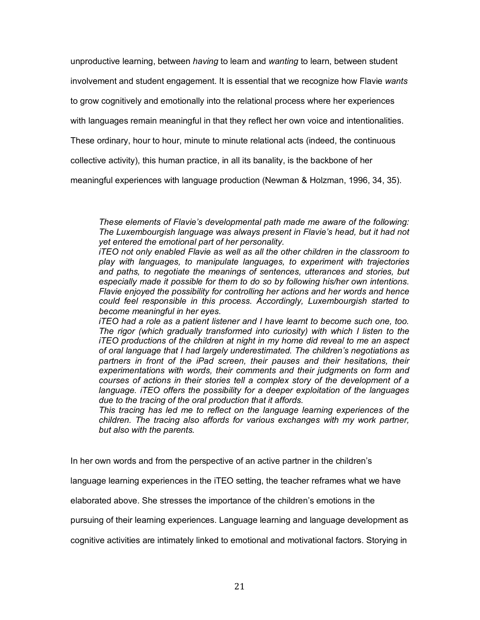unproductive learning, between *having* to learn and *wanting* to learn, between student

involvement and student engagement. It is essential that we recognize how Flavie *wants*

to grow cognitively and emotionally into the relational process where her experiences

with languages remain meaningful in that they reflect her own voice and intentionalities.

These ordinary, hour to hour, minute to minute relational acts (indeed, the continuous

collective activity), this human practice, in all its banality, is the backbone of her

meaningful experiences with language production (Newman & Holzman, 1996, 34, 35).

*These elements of Flavie's developmental path made me aware of the following: The Luxembourgish language was always present in Flavie's head, but it had not yet entered the emotional part of her personality.* 

*iTEO not only enabled Flavie as well as all the other children in the classroom to play with languages, to manipulate languages, to experiment with trajectories and paths, to negotiate the meanings of sentences, utterances and stories, but especially made it possible for them to do so by following his/her own intentions. Flavie enjoyed the possibility for controlling her actions and her words and hence could feel responsible in this process. Accordingly, Luxembourgish started to become meaningful in her eyes.*

*iTEO had a role as a patient listener and I have learnt to become such one, too. The rigor (which gradually transformed into curiosity) with which I listen to the iTEO productions of the children at night in my home did reveal to me an aspect of oral language that I had largely underestimated. The children's negotiations as partners in front of the iPad screen, their pauses and their hesitations, their experimentations with words, their comments and their judgments on form and courses of actions in their stories tell a complex story of the development of a language. iTEO offers the possibility for a deeper exploitation of the languages due to the tracing of the oral production that it affords.*

*This tracing has led me to reflect on the language learning experiences of the children. The tracing also affords for various exchanges with my work partner, but also with the parents.* 

In her own words and from the perspective of an active partner in the children's

language learning experiences in the iTEO setting, the teacher reframes what we have

elaborated above. She stresses the importance of the children's emotions in the

pursuing of their learning experiences. Language learning and language development as

cognitive activities are intimately linked to emotional and motivational factors. Storying in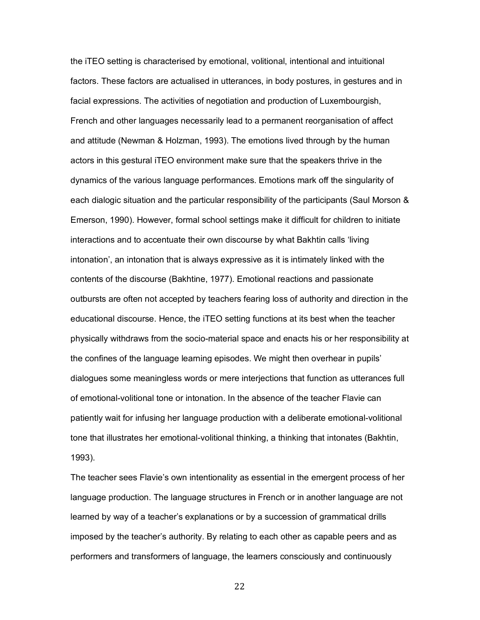the iTEO setting is characterised by emotional, volitional, intentional and intuitional factors. These factors are actualised in utterances, in body postures, in gestures and in facial expressions. The activities of negotiation and production of Luxembourgish, French and other languages necessarily lead to a permanent reorganisation of affect and attitude (Newman & Holzman, 1993). The emotions lived through by the human actors in this gestural iTEO environment make sure that the speakers thrive in the dynamics of the various language performances. Emotions mark off the singularity of each dialogic situation and the particular responsibility of the participants (Saul Morson & Emerson, 1990). However, formal school settings make it difficult for children to initiate interactions and to accentuate their own discourse by what Bakhtin calls 'living intonation', an intonation that is always expressive as it is intimately linked with the contents of the discourse (Bakhtine, 1977). Emotional reactions and passionate outbursts are often not accepted by teachers fearing loss of authority and direction in the educational discourse. Hence, the iTEO setting functions at its best when the teacher physically withdraws from the socio-material space and enacts his or her responsibility at the confines of the language learning episodes. We might then overhear in pupils' dialogues some meaningless words or mere interjections that function as utterances full of emotional-volitional tone or intonation. In the absence of the teacher Flavie can patiently wait for infusing her language production with a deliberate emotional-volitional tone that illustrates her emotional-volitional thinking, a thinking that intonates (Bakhtin, 1993).

The teacher sees Flavie's own intentionality as essential in the emergent process of her language production. The language structures in French or in another language are not learned by way of a teacher's explanations or by a succession of grammatical drills imposed by the teacher's authority. By relating to each other as capable peers and as performers and transformers of language, the learners consciously and continuously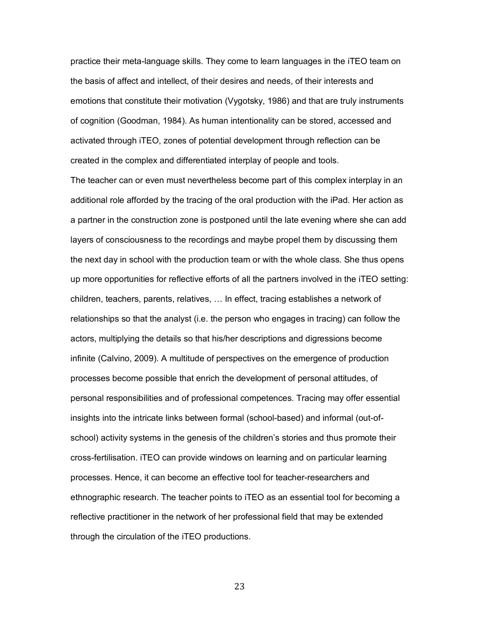practice their meta-language skills. They come to learn languages in the iTEO team on the basis of affect and intellect, of their desires and needs, of their interests and emotions that constitute their motivation (Vygotsky, 1986) and that are truly instruments of cognition (Goodman, 1984). As human intentionality can be stored, accessed and activated through iTEO, zones of potential development through reflection can be created in the complex and differentiated interplay of people and tools.

The teacher can or even must nevertheless become part of this complex interplay in an additional role afforded by the tracing of the oral production with the iPad. Her action as a partner in the construction zone is postponed until the late evening where she can add layers of consciousness to the recordings and maybe propel them by discussing them the next day in school with the production team or with the whole class. She thus opens up more opportunities for reflective efforts of all the partners involved in the iTEO setting: children, teachers, parents, relatives, … In effect, tracing establishes a network of relationships so that the analyst (i.e. the person who engages in tracing) can follow the actors, multiplying the details so that his/her descriptions and digressions become infinite (Calvino, 2009). A multitude of perspectives on the emergence of production processes become possible that enrich the development of personal attitudes, of personal responsibilities and of professional competences. Tracing may offer essential insights into the intricate links between formal (school-based) and informal (out-ofschool) activity systems in the genesis of the children's stories and thus promote their cross-fertilisation. iTEO can provide windows on learning and on particular learning processes. Hence, it can become an effective tool for teacher-researchers and ethnographic research. The teacher points to iTEO as an essential tool for becoming a reflective practitioner in the network of her professional field that may be extended through the circulation of the iTEO productions.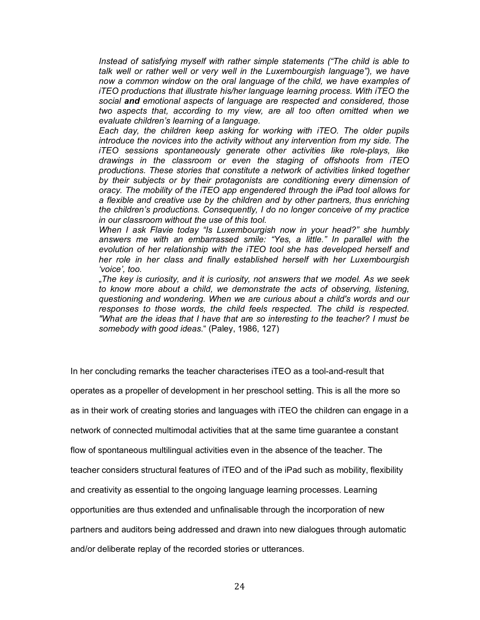*Instead of satisfying myself with rather simple statements ("The child is able to talk well or rather well or very well in the Luxembourgish language"), we have now a common window on the oral language of the child, we have examples of iTEO productions that illustrate his/her language learning process. With iTEO the social and emotional aspects of language are respected and considered, those two aspects that, according to my view, are all too often omitted when we evaluate children's learning of a language.*

*Each day, the children keep asking for working with iTEO. The older pupils introduce the novices into the activity without any intervention from my side. The iTEO sessions spontaneously generate other activities like role-plays, like drawings in the classroom or even the staging of offshoots from iTEO productions. These stories that constitute a network of activities linked together by their subjects or by their protagonists are conditioning every dimension of oracy. The mobility of the iTEO app engendered through the iPad tool allows for a flexible and creative use by the children and by other partners, thus enriching the children's productions. Consequently, I do no longer conceive of my practice in our classroom without the use of this tool.* 

*When I ask Flavie today "Is Luxembourgish now in your head?" she humbly answers me with an embarrassed smile: "Yes, a little." In parallel with the evolution of her relationship with the iTEO tool she has developed herself and her role in her class and finally established herself with her Luxembourgish 'voice', too.* 

"*The key is curiosity, and it is curiosity, not answers that we model. As we seek*  to know more about a child, we demonstrate the acts of observing, listening, *questioning and wondering. When we are curious about a child's words and our responses to those words, the child feels respected. The child is respected. "What are the ideas that I have that are so interesting to the teacher? I must be somebody with good ideas*." (Paley, 1986, 127)

In her concluding remarks the teacher characterises iTEO as a tool-and-result that

operates as a propeller of development in her preschool setting. This is all the more so

as in their work of creating stories and languages with iTEO the children can engage in a

network of connected multimodal activities that at the same time guarantee a constant

flow of spontaneous multilingual activities even in the absence of the teacher. The

teacher considers structural features of iTEO and of the iPad such as mobility, flexibility

and creativity as essential to the ongoing language learning processes. Learning

opportunities are thus extended and unfinalisable through the incorporation of new

partners and auditors being addressed and drawn into new dialogues through automatic

and/or deliberate replay of the recorded stories or utterances.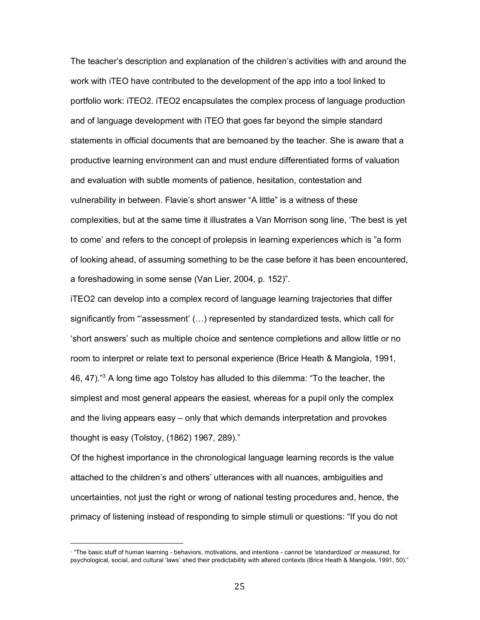The teacher's description and explanation of the children's activities with and around the work with iTEO have contributed to the development of the app into a tool linked to portfolio work: iTEO2. iTEO2 encapsulates the complex process of language production and of language development with iTEO that goes far beyond the simple standard statements in official documents that are bemoaned by the teacher. She is aware that a productive learning environment can and must endure differentiated forms of valuation and evaluation with subtle moments of patience, hesitation, contestation and vulnerability in between. Flavie's short answer "A little" is a witness of these complexities, but at the same time it illustrates a Van Morrison song line, 'The best is yet to come' and refers to the concept of prolepsis in learning experiences which is "a form of looking ahead, of assuming something to be the case before it has been encountered, a foreshadowing in some sense (Van Lier, 2004, p. 152)".

iTEO2 can develop into a complex record of language learning trajectories that differ significantly from "'assessment' (…) represented by standardized tests, which call for 'short answers' such as multiple choice and sentence completions and allow little or no room to interpret or relate text to personal experience (Brice Heath & Mangiola, 1991, 46, 47).<sup>"3</sup> A long time ago Tolstoy has alluded to this dilemma: "To the teacher, the simplest and most general appears the easiest, whereas for a pupil only the complex and the living appears easy – only that which demands interpretation and provokes thought is easy (Tolstoy, (1862) 1967, 289)."

Of the highest importance in the chronological language learning records is the value attached to the children's and others' utterances with all nuances, ambiguities and uncertainties, not just the right or wrong of national testing procedures and, hence, the primacy of listening instead of responding to simple stimuli or questions: "If you do not

<sup>&</sup>lt;sup>9</sup> "The basic stuff of human learning - behaviors, motivations, and intentions - cannot be 'standardized' or measured, for psychological, social, and cultural 'laws' shed their predictability with altered contexts (Brice Heath & Mangiola, 1991, 50)."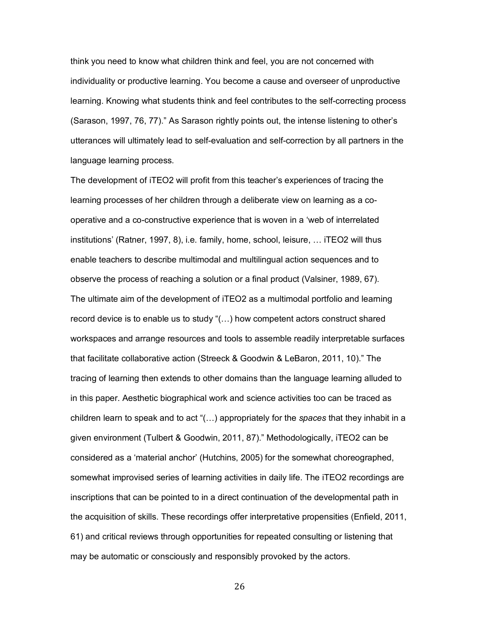think you need to know what children think and feel, you are not concerned with individuality or productive learning. You become a cause and overseer of unproductive learning. Knowing what students think and feel contributes to the self-correcting process (Sarason, 1997, 76, 77)." As Sarason rightly points out, the intense listening to other's utterances will ultimately lead to self-evaluation and self-correction by all partners in the language learning process.

The development of iTEO2 will profit from this teacher's experiences of tracing the learning processes of her children through a deliberate view on learning as a cooperative and a co-constructive experience that is woven in a 'web of interrelated institutions' (Ratner, 1997, 8), i.e. family, home, school, leisure, … iTEO2 will thus enable teachers to describe multimodal and multilingual action sequences and to observe the process of reaching a solution or a final product (Valsiner, 1989, 67). The ultimate aim of the development of iTEO2 as a multimodal portfolio and learning record device is to enable us to study "(…) how competent actors construct shared workspaces and arrange resources and tools to assemble readily interpretable surfaces that facilitate collaborative action (Streeck & Goodwin & LeBaron, 2011, 10)." The tracing of learning then extends to other domains than the language learning alluded to in this paper. Aesthetic biographical work and science activities too can be traced as children learn to speak and to act "(…) appropriately for the *spaces* that they inhabit in a given environment (Tulbert & Goodwin, 2011, 87)." Methodologically, iTEO2 can be considered as a 'material anchor' (Hutchins, 2005) for the somewhat choreographed, somewhat improvised series of learning activities in daily life. The iTEO2 recordings are inscriptions that can be pointed to in a direct continuation of the developmental path in the acquisition of skills. These recordings offer interpretative propensities (Enfield, 2011, 61) and critical reviews through opportunities for repeated consulting or listening that may be automatic or consciously and responsibly provoked by the actors.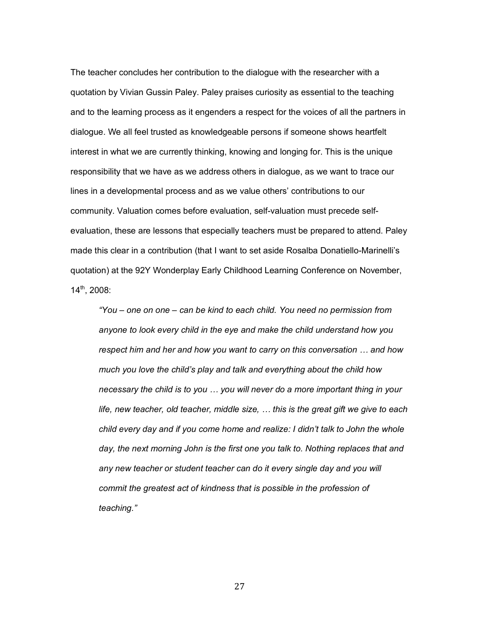The teacher concludes her contribution to the dialogue with the researcher with a quotation by Vivian Gussin Paley. Paley praises curiosity as essential to the teaching and to the learning process as it engenders a respect for the voices of all the partners in dialogue. We all feel trusted as knowledgeable persons if someone shows heartfelt interest in what we are currently thinking, knowing and longing for. This is the unique responsibility that we have as we address others in dialogue, as we want to trace our lines in a developmental process and as we value others' contributions to our community. Valuation comes before evaluation, self-valuation must precede selfevaluation, these are lessons that especially teachers must be prepared to attend. Paley made this clear in a contribution (that I want to set aside Rosalba Donatiello-Marinelli's quotation) at the 92Y Wonderplay Early Childhood Learning Conference on November, 14th, 2008:

*"You – one on one – can be kind to each child. You need no permission from anyone to look every child in the eye and make the child understand how you respect him and her and how you want to carry on this conversation … and how much you love the child's play and talk and everything about the child how necessary the child is to you … you will never do a more important thing in your life, new teacher, old teacher, middle size, … this is the great gift we give to each child every day and if you come home and realize: I didn't talk to John the whole*  day, the next morning John is the first one you talk to. Nothing replaces that and *any new teacher or student teacher can do it every single day and you will commit the greatest act of kindness that is possible in the profession of teaching."*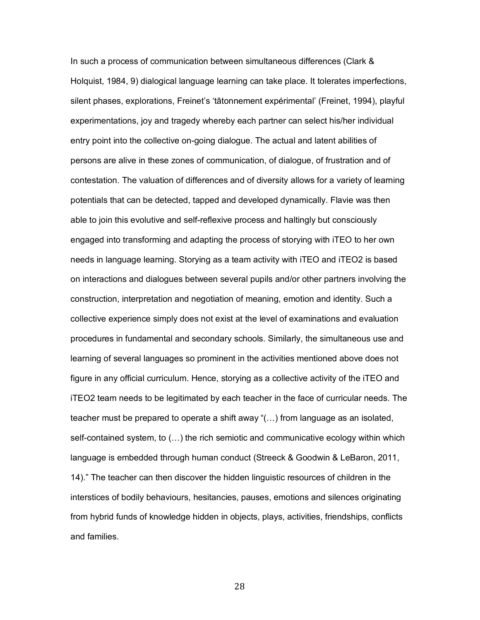In such a process of communication between simultaneous differences (Clark & Holquist, 1984, 9) dialogical language learning can take place. It tolerates imperfections, silent phases, explorations, Freinet's 'tâtonnement expérimental' (Freinet, 1994), playful experimentations, joy and tragedy whereby each partner can select his/her individual entry point into the collective on-going dialogue. The actual and latent abilities of persons are alive in these zones of communication, of dialogue, of frustration and of contestation. The valuation of differences and of diversity allows for a variety of learning potentials that can be detected, tapped and developed dynamically. Flavie was then able to join this evolutive and self-reflexive process and haltingly but consciously engaged into transforming and adapting the process of storying with iTEO to her own needs in language learning. Storying as a team activity with iTEO and iTEO2 is based on interactions and dialogues between several pupils and/or other partners involving the construction, interpretation and negotiation of meaning, emotion and identity. Such a collective experience simply does not exist at the level of examinations and evaluation procedures in fundamental and secondary schools. Similarly, the simultaneous use and learning of several languages so prominent in the activities mentioned above does not figure in any official curriculum. Hence, storying as a collective activity of the iTEO and iTEO2 team needs to be legitimated by each teacher in the face of curricular needs. The teacher must be prepared to operate a shift away "(…) from language as an isolated, self-contained system, to (…) the rich semiotic and communicative ecology within which language is embedded through human conduct (Streeck & Goodwin & LeBaron, 2011, 14)." The teacher can then discover the hidden linguistic resources of children in the interstices of bodily behaviours, hesitancies, pauses, emotions and silences originating from hybrid funds of knowledge hidden in objects, plays, activities, friendships, conflicts and families.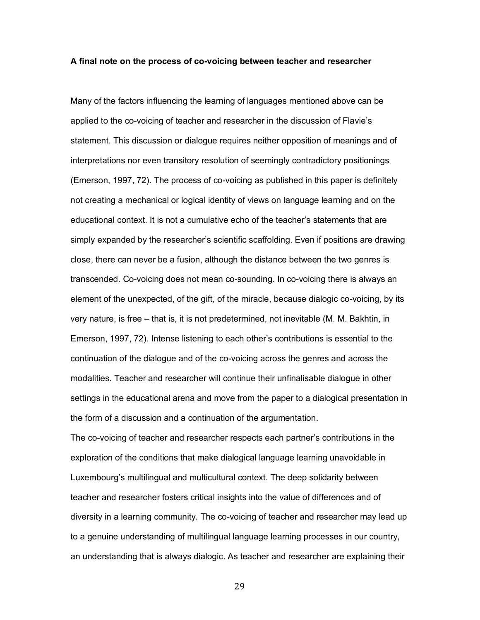#### **A final note on the process of co-voicing between teacher and researcher**

Many of the factors influencing the learning of languages mentioned above can be applied to the co-voicing of teacher and researcher in the discussion of Flavie's statement. This discussion or dialogue requires neither opposition of meanings and of interpretations nor even transitory resolution of seemingly contradictory positionings (Emerson, 1997, 72). The process of co-voicing as published in this paper is definitely not creating a mechanical or logical identity of views on language learning and on the educational context. It is not a cumulative echo of the teacher's statements that are simply expanded by the researcher's scientific scaffolding. Even if positions are drawing close, there can never be a fusion, although the distance between the two genres is transcended. Co-voicing does not mean co-sounding. In co-voicing there is always an element of the unexpected, of the gift, of the miracle, because dialogic co-voicing, by its very nature, is free – that is, it is not predetermined, not inevitable (M. M. Bakhtin, in Emerson, 1997, 72). Intense listening to each other's contributions is essential to the continuation of the dialogue and of the co-voicing across the genres and across the modalities. Teacher and researcher will continue their unfinalisable dialogue in other settings in the educational arena and move from the paper to a dialogical presentation in the form of a discussion and a continuation of the argumentation.

The co-voicing of teacher and researcher respects each partner's contributions in the exploration of the conditions that make dialogical language learning unavoidable in Luxembourg's multilingual and multicultural context. The deep solidarity between teacher and researcher fosters critical insights into the value of differences and of diversity in a learning community. The co-voicing of teacher and researcher may lead up to a genuine understanding of multilingual language learning processes in our country, an understanding that is always dialogic. As teacher and researcher are explaining their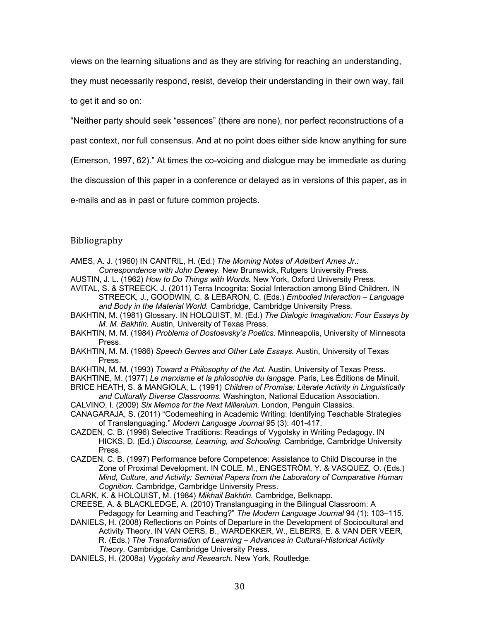views on the learning situations and as they are striving for reaching an understanding,

they must necessarily respond, resist, develop their understanding in their own way, fail

to get it and so on:

"Neither party should seek "essences" (there are none), nor perfect reconstructions of a

past context, nor full consensus. And at no point does either side know anything for sure

(Emerson, 1997, 62)." At times the co-voicing and dialogue may be immediate as during

the discussion of this paper in a conference or delayed as in versions of this paper, as in

e-mails and as in past or future common projects.

# Bibliography

AMES, A. J. (1960) IN CANTRIL, H. (Ed.) *The Morning Notes of Adelbert Ames Jr.: Correspondence with John Dewey.* New Brunswick, Rutgers University Press.

AUSTIN, J. L. (1962) *How to Do Things with Words.* New York, Oxford University Press.

AVITAL, S. & STREECK, J. (2011) Terra Incognita: Social Interaction among Blind Children. IN STREECK, J., GOODWIN, C. & LEBARON, C. (Eds.) *Embodied Interaction – Language and Body in the Material World.* Cambridge, Cambridge University Press.

BAKHTIN, M. (1981) Glossary. IN HOLQUIST, M. (Ed.) *The Dialogic Imagination: Four Essays by M. M. Bakhtin.* Austin, University of Texas Press.

BAKHTIN, M. M. (1984) *Problems of Dostoevsky's Poetics.* Minneapolis, University of Minnesota Press.

BAKHTIN, M. M. (1986) *Speech Genres and Other Late Essays.* Austin, University of Texas Press.

BAKHTIN, M. M. (1993) *Toward a Philosophy of the Act.* Austin, University of Texas Press.

BAKHTINE, M. (1977) *Le marxisme et la philosophie du langage.* Paris, Les Éditions de Minuit.

BRICE HEATH, S. & MANGIOLA, L. (1991) *Children of Promise: Literate Activity in Linguistically and Culturally Diverse Classrooms.* Washington, National Education Association.

CALVINO, I. (2009) *Six Memos for the Next Millenium.* London, Penguin Classics.

- CANAGARAJA, S. (2011) "Codemeshing in Academic Writing: Identifying Teachable Strategies of Translanguaging." *Modern Language Journal* 95 (3): 401-417.
- CAZDEN, C. B. (1996) Selective Traditions: Readings of Vygotsky in Writing Pedagogy. IN HICKS, D. (Ed.) *Discourse, Learning, and Schooling.* Cambridge, Cambridge University Press.
- CAZDEN, C. B. (1997) Performance before Competence: Assistance to Child Discourse in the Zone of Proximal Development. IN COLE, M., ENGESTRÖM, Y. & VASQUEZ, O. (Eds.) *Mind, Culture, and Activity: Seminal Papers from the Laboratory of Comparative Human Cognition.* Cambridge, Cambridge University Press.
- CLARK, K. & HOLQUIST, M. (1984) *Mikhail Bakhtin.* Cambridge, Belknapp.
- CREESE, A. & BLACKLEDGE, A. (2010) Translanguaging in the Bilingual Classroom: A Pedagogy for Learning and Teaching?" *The Modern Language Journal* 94 (1): 103–115.
- DANIELS, H. (2008) Reflections on Points of Departure in the Development of Sociocultural and Activity Theory. IN VAN OERS, B., WARDEKKER, W., ELBERS, E. & VAN DER VEER, R. (Eds.) *The Transformation of Learning – Advances in Cultural-Historical Activity Theory.* Cambridge, Cambridge University Press.
- DANIELS, H. (2008a) *Vygotsky and Research.* New York, Routledge.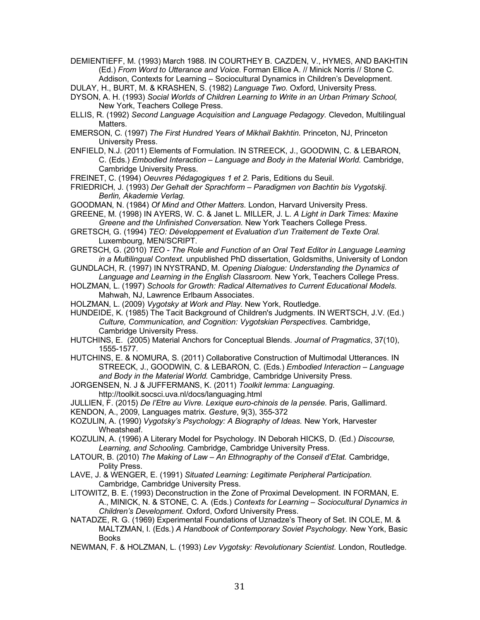DEMIENTIEFF, M. (1993) March 1988. IN COURTHEY B. CAZDEN, V., HYMES, AND BAKHTIN (Ed.) *From Word to Utterance and Voice.* Forman Ellice A. // Minick Norris // Stone C. Addison, Contexts for Learning – Sociocultural Dynamics in Children's Development.

DULAY, H., BURT, M. & KRASHEN, S. (1982) *Language Two.* Oxford, University Press.

- DYSON, A. H. (1993) *Social Worlds of Children Learning to Write in an Urban Primary School,*  New York, Teachers College Press.
- ELLIS, R. (1992) *Second Language Acquisition and Language Pedagogy.* Clevedon, Multilingual Matters.
- EMERSON, C. (1997) *The First Hundred Years of Mikhail Bakhtin.* Princeton, NJ, Princeton University Press.
- ENFIELD, N.J. (2011) Elements of Formulation. IN STREECK, J., GOODWIN, C. & LEBARON, C. (Eds.) *Embodied Interaction – Language and Body in the Material World.* Cambridge, Cambridge University Press.
- FREINET, C. (1994) *Oeuvres Pédagogiques 1 et 2.* Paris, Editions du Seuil.

FRIEDRICH, J. (1993) *Der Gehalt der Sprachform – Paradigmen von Bachtin bis Vygotskij*. *Berlin, Akademie Verlag.*

GOODMAN, N. (1984) *Of Mind and Other Matters.* London, Harvard University Press.

GREENE, M. (1998) IN AYERS, W. C. & Janet L. MILLER, J. L. *A Light in Dark Times: Maxine Greene and the Unfinished Conversation.* New York Teachers College Press.

GRETSCH, G. (1994) *TEO: Développement et Evaluation d'un Traitement de Texte Oral.*  Luxembourg, MEN/SCRIPT.

- GRETSCH, G. (2010) *TEO - The Role and Function of an Oral Text Editor in Language Learning in a Multilingual Context.* unpublished PhD dissertation, Goldsmiths, University of London
- GUNDLACH, R. (1997) IN NYSTRAND, M. *Opening Dialogue: Understanding the Dynamics of Language and Learning in the English Classroom.* New York, Teachers College Press.
- HOLZMAN, L. (1997) *Schools for Growth: Radical Alternatives to Current Educational Models.* Mahwah, NJ, Lawrence Erlbaum Associates.
- HOLZMAN, L. (2009) *Vygotsky at Work and Play.* New York, Routledge.
- HUNDEIDE, K. (1985) The Tacit Background of Children's Judgments. IN WERTSCH, J.V. (Ed.) *Culture, Communication, and Cognition: Vygotskian Perspectives.* Cambridge, Cambridge University Press.
- HUTCHINS, E. (2005) Material Anchors for Conceptual Blends. *Journal of Pragmatics*, 37(10), 1555-1577.

HUTCHINS, E. & NOMURA, S. (2011) Collaborative Construction of Multimodal Utterances. IN STREECK, J., GOODWIN, C. & LEBARON, C. (Eds.) *Embodied Interaction – Language and Body in the Material World.* Cambridge, Cambridge University Press.

- JORGENSEN, N. J & JUFFERMANS, K. (2011) *Toolkit lemma: Languaging*. http://toolkit.socsci.uva.nl/docs/languaging.html
- JULLIEN, F. (2015) *De l'Etre au Vivre. Lexique euro-chinois de la pensée.* Paris, Gallimard.
- KENDON, A., 2009, Languages matrix. *Gesture*, 9(3), 355-372
- KOZULIN, A. (1990) *Vygotsky's Psychology: A Biography of Ideas.* New York, Harvester Wheatsheaf.
- KOZULIN, A. (1996) A Literary Model for Psychology. IN Deborah HICKS, D. (Ed.) *Discourse, Learning, and Schooling.* Cambridge, Cambridge University Press.
- LATOUR, B. (2010) *The Making of Law – An Ethnography of the Conseil d'Etat.* Cambridge, Polity Press.
- LAVE, J. & WENGER, E. (1991) *Situated Learning: Legitimate Peripheral Participation.* Cambridge, Cambridge University Press.
- LITOWITZ, B. E. (1993) Deconstruction in the Zone of Proximal Development. IN FORMAN, E. A., MINICK, N. & STONE, C. A. (Eds.) *Contexts for Learning – Sociocultural Dynamics in Children's Development.* Oxford, Oxford University Press.
- NATADZE, R. G. (1969) Experimental Foundations of Uznadze's Theory of Set. IN COLE, M. & MALTZMAN, I. (Eds.) *A Handbook of Contemporary Soviet Psychology.* New York, Basic Books
- NEWMAN, F. & HOLZMAN, L. (1993) *Lev Vygotsky: Revolutionary Scientist.* London, Routledge.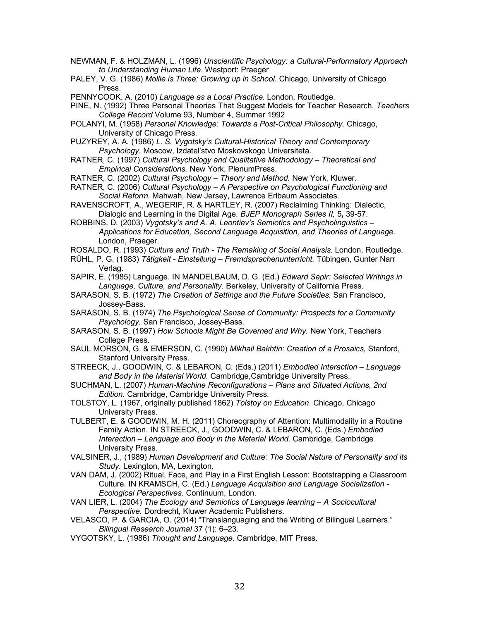- NEWMAN, F. & HOLZMAN, L. (1996) *Unscientific Psychology: a Cultural-Performatory Approach to Understanding Human Life*. Westport: Praeger
- PALEY, V. G. (1986) *Mollie is Three: Growing up in School.* Chicago, University of Chicago Press.
- PENNYCOOK, A. (2010) *Language as a Local Practice*. London, Routledge.

PINE, N. (1992) Three Personal Theories That Suggest Models for Teacher Research. *Teachers College Record* Volume 93, Number 4, Summer 1992

- POLANYI, M. (1958) *Personal Knowledge: Towards a Post-Critical Philosophy.* Chicago, University of Chicago Press.
- PUZYREY, A. A. (1986) *L. S. Vygotsky's Cultural-Historical Theory and Contemporary Psychology.* Moscow, Izdatel'stvo Moskovskogo Universiteta.
- RATNER, C. (1997) *Cultural Psychology and Qualitative Methodology – Theoretical and Empirical Considerations.* New York, PlenumPress.
- RATNER, C. (2002) *Cultural Psychology – Theory and Method.* New York, Kluwer.
- RATNER, C. (2006) *Cultural Psychology – A Perspective on Psychological Functioning and Social Reform.* Mahwah, New Jersey, Lawrence Erlbaum Associates.
- RAVENSCROFT, A., WEGERIF, R. & HARTLEY, R. (2007) Reclaiming Thinking: Dialectic, Dialogic and Learning in the Digital Age. *BJEP Monograph Series II,* 5**,** 39-57.
- ROBBINS, D. (2003) *Vygotsky's and A. A. Leontiev's Semiotics and Psycholinguistics – Applications for Education, Second Language Acquisition, and Theories of Language.* London, Praeger.
- ROSALDO, R. (1993) *Culture and Truth - The Remaking of Social Analysis.* London, Routledge.
- RÜHL, P. G. (1983) *Tätigkeit - Einstellung – Fremdsprachenunterricht.* Tübingen, Gunter Narr Verlag.
- SAPIR, E. (1985) Language. IN MANDELBAUM, D. G. (Ed.) *Edward Sapir: Selected Writings in Language, Culture, and Personality.* Berkeley, University of California Press.
- SARASON, S. B. (1972) *The Creation of Settings and the Future Societies.* San Francisco, Jossey-Bass.
- SARASON, S. B. (1974) *The Psychological Sense of Community: Prospects for a Community Psychology.* San Francisco, Jossey-Bass.
- SARASON, S. B. (1997) *How Schools Might Be Governed and Why.* New York, Teachers College Press.
- SAUL MORSON, G. & EMERSON, C. (1990) *Mikhail Bakhtin: Creation of a Prosaics,* Stanford, Stanford University Press.
- STREECK, J., GOODWIN, C. & LEBARON, C. (Eds.) (2011) *Embodied Interaction – Language and Body in the Material World.* Cambridge,Cambridge University Press.
- SUCHMAN, L. (2007) *Human-Machine Reconfigurations – Plans and Situated Actions, 2nd Edition.* Cambridge, Cambridge University Press.
- TOLSTOY, L. (1967, originally published 1862) *Tolstoy on Education*. Chicago, Chicago University Press.
- TULBERT, E. & GOODWIN, M. H. (2011) Choreography of Attention: Multimodality in a Routine Family Action. IN STREECK, J., GOODWIN, C. & LEBARON, C. (Eds.) *Embodied Interaction – Language and Body in the Material World.* Cambridge, Cambridge University Press.
- VALSINER, J., (1989) *Human Development and Culture: The Social Nature of Personality and its Study.* Lexington, MA, Lexington.
- VAN DAM, J. (2002) Ritual, Face, and Play in a First English Lesson: Bootstrapping a Classroom Culture. IN KRAMSCH, C. (Ed.) *Language Acquisition and Language Socialization - Ecological Perspectives.* Continuum, London.
- VAN LIER, L. (2004) *The Ecology and Semiotics of Language learning – A Sociocultural Perspective.* Dordrecht, Kluwer Academic Publishers.
- VELASCO, P. & GARCIA, O. (2014) "Translanguaging and the Writing of Bilingual Learners." *Bilingual Research Journal* 37 (1): 6–23.
- VYGOTSKY, L. (1986) *Thought and Language.* Cambridge, MIT Press.